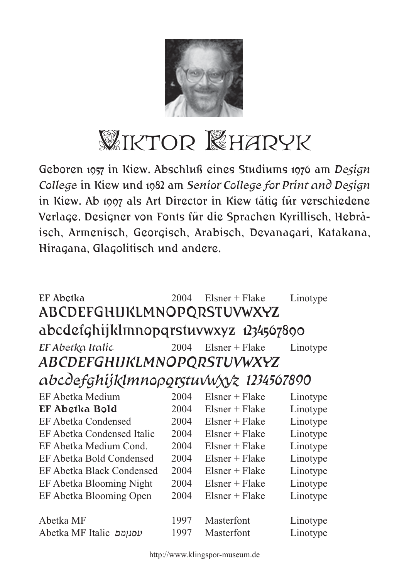

## WIKTOR KHARYK

Geboren 1957 in Kiew. Abschluß eines Studiums 1976 am *Design College* in Kiew und 1982 am *Senior College for Print and Design* in Kiew. Ab 1997 als Art Director in Kiew tätig für verschiedene Verlage. Designer von Fonts für die Sprachen Kyrillisch, Hebräisch, Armenisch, Georgisch, Arabisch, Devanagari, Katakana, Hiragana, Glagolitisch und andere.

| EF Abetka<br>ABCDEFGHIJKLMNOPQRSTUVWXYZ | 2004 | $Elsner + Flake$ | Linotype |  |  |  |
|-----------------------------------------|------|------------------|----------|--|--|--|
| abcdefghijklmnopqrstuvwxyz 1234507890   |      |                  |          |  |  |  |
| EF Abetka Italic                        | 2004 | $Elsner + Flake$ | Linotype |  |  |  |
| <b>ABCDEFGHIJKLMNOPQRSTUVWXYZ</b>       |      |                  |          |  |  |  |
| abcdefghijklmnoporstuvwxyz 1234567890   |      |                  |          |  |  |  |
| EF Abetka Medium                        | 2004 | $Elsner + Flake$ | Linotype |  |  |  |
| EF Abetka Bold                          | 2004 | $Elsner + Flake$ | Linotype |  |  |  |
| <b>EF Abetka Condensed</b>              | 2004 | $Elsner + Flake$ | Linotype |  |  |  |
| EF Abetka Condensed Italic              | 2004 | $Elsner + Flake$ | Linotype |  |  |  |
| EF Abetka Medium Cond.                  | 2004 | $Elsner + Flake$ | Linotype |  |  |  |
| EF Abetka Bold Condensed                | 2004 | $Elsner + Flake$ | Linotype |  |  |  |
| <b>EF Abetka Black Condensed</b>        | 2004 | $Elsner + Flake$ | Linotype |  |  |  |
| EF Abetka Blooming Night                | 2004 | $Elsner + Flake$ | Linotype |  |  |  |
| EF Abetka Blooming Open                 | 2004 | $Elsner + Flake$ | Linotype |  |  |  |
|                                         |      |                  |          |  |  |  |
| Abetka MF                               | 1997 | Masterfont       | Linotype |  |  |  |
| Abetka MF Italic עסנומם                 | 1997 | Masterfont       | Linotype |  |  |  |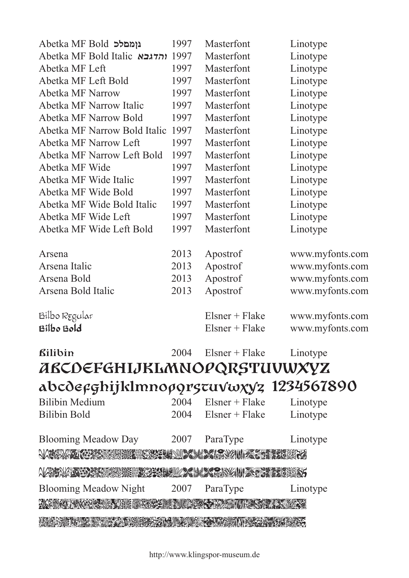| abcdeeghijklmnoøgrstuvwxyz 1234567890 |      |                  |                 |
|---------------------------------------|------|------------------|-----------------|
| ABCDEFGHIJKLMNOPQRSTUVWXYZ            |      |                  |                 |
| <b><i><u>Rilibin</u></i></b>          | 2004 | $Elsner + Flake$ | Linotype        |
| <b>Bilbo Bold</b>                     |      | $Elsner + Flake$ | www.myfonts.com |
| Bilbo Regular                         |      | $Elsner + Flake$ | www.myfonts.com |
| Arsena Bold Italic                    | 2013 | Apostrof         | www.myfonts.com |
| Arsena Bold                           | 2013 | Apostrof         | www.myfonts.com |
| Arsena Italic                         | 2013 | Apostrof         | www.myfonts.com |
| Arsena                                | 2013 | Apostrof         | www.myfonts.com |
| Abetka MF Wide Left Bold              | 1997 | Masterfont       | Linotype        |
| Abetka MF Wide Left                   | 1997 | Masterfont       | Linotype        |
| Abetka MF Wide Bold Italic            | 1997 | Masterfont       | Linotype        |
| Abetka MF Wide Bold                   | 1997 | Masterfont       | Linotype        |
| Abetka MF Wide Italic                 | 1997 | Masterfont       | Linotype        |
| Abetka MF Wide                        | 1997 | Masterfont       | Linotype        |
| Abetka MF Narrow Left Bold            | 1997 | Masterfont       | Linotype        |
| Abetka MF Narrow Left                 | 1997 | Masterfont       | Linotype        |
| Abetka MF Narrow Bold Italic          | 1997 | Masterfont       | Linotype        |
| <b>Abetka MF Narrow Bold</b>          | 1997 | Masterfont       | Linotype        |
| Abetka MF Narrow Italic               | 1997 | Masterfont       | Linotype        |
| <b>Abetka MF Narrow</b>               | 1997 | Masterfont       | Linotype        |
| Abetka MF Left Bold                   | 1997 | Masterfont       | Linotype        |
| Abetka MF Left                        | 1997 | Masterfont       | Linotype        |
| Abetka MF Bold Italic והדגבא          | 1997 | Masterfont       | Linotype        |
| Abetka MF Bold נוממלכ                 | 1997 | Masterfont       | Linotype        |
|                                       |      |                  |                 |

| $\alpha$                                                                                                       |      |                  | 1 <i>W)</i> 1/V1V |
|----------------------------------------------------------------------------------------------------------------|------|------------------|-------------------|
| <b>Bilibin Medium</b>                                                                                          | 2004 | $Elsner + Flake$ | Linotype          |
| <b>Bilibin Bold</b>                                                                                            | 2004 | $Elsner + Flake$ | Linotype          |
| <b>Blooming Meadow Day</b>                                                                                     | 2007 | ParaType         | Linotype          |
| NAKAME KOZECHA CUZEL NA LAMAN MA CUZEVAR                                                                       |      |                  |                   |
| WANALAR RESERVE TENESI SELELE LARA SERIKAN TENERGETIK SE                                                       |      |                  |                   |
| <b>Blooming Meadow Night</b>                                                                                   | 2007 | ParaType         | Linotype          |
|                                                                                                                |      |                  |                   |
| ASSESSMENT AND THE CONTRACTOR OF A REPORT OF A REPORT OF A REPORT OF A REPORT OF A REPORT OF A REPORT OF A REP |      |                  |                   |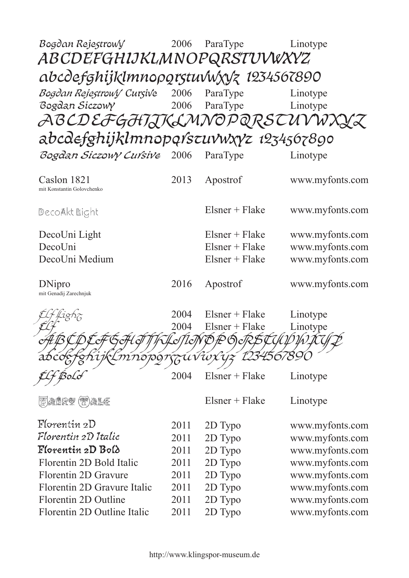| Bogdan Rejestrowy<br><i>ABCDEFGHIJKLMNOPQRSTUVWXYZ</i> | 2006 | ParaType                | Linotype        |
|--------------------------------------------------------|------|-------------------------|-----------------|
| abcdefghijklmnoporstuvwxvz 1234567890                  |      |                         |                 |
| Bogdan Rejestrowy Cursive                              | 2006 | ParaType                | Linotype        |
| Bogdan Siczowy                                         | 2006 | ParaType                | Linotype        |
| ABCDEFGHTJKLMNOPQRSTUVW                                |      |                         |                 |
|                                                        |      |                         |                 |
| abcdefghijklmnopqrszuvwxyz 1234567890                  |      |                         |                 |
| Bogdan Siczowy Cuŕsive                                 | 2006 | ParaType                | Linotype        |
| Caslon 1821<br>mit Konstantin Golovchenko              | 2013 | Apostrof                | www.myfonts.com |
| DecoAkt Light                                          |      | $Elsner + Flake$        | www.myfonts.com |
| DecoUni Light                                          |      | $Elsner + Flake$        | www.myfonts.com |
| DecoUni                                                |      | $Elsner + Flake$        | www.myfonts.com |
| DecoUni Medium                                         |      | $Elsner + Flake$        | www.myfonts.com |
|                                                        |      |                         |                 |
| DNipro<br>mit Genadij Zarechnjuk                       | 2016 | Apostrof                | www.myfonts.com |
|                                                        | 2004 | $Elsner + Flake$        | Linotype        |
|                                                        | 2004 | $Elsner + Flake$        | Linotype        |
| \$ FF G <sub>C</sub> #1                                |      | TIMBÉBALE ET UNIVITETUS |                 |
|                                                        |      |                         |                 |
|                                                        |      | ίι ντοχτι               |                 |
|                                                        | 2004 | $Elsner + Flake$        | Linotype        |
| $E$ , and $E$ (w) also                                 |      | $Elsner + Flake$        | Linotype        |
| Florentin 2D                                           | 2011 | 2D Typo                 | www.myfonts.com |
| Florentin 2D Italic                                    | 2011 | 2D Typo                 | www.myfonts.com |
| Florentin 2D Bold                                      | 2011 | 2D Typo                 | www.myfonts.com |
| Florentin 2D Bold Italic                               | 2011 | 2D Typo                 | www.myfonts.com |
| Florentin 2D Gravure                                   | 2011 | 2D Typo                 | www.myfonts.com |
| Florentin 2D Gravure Italic                            | 2011 | 2D Typo                 | www.myfonts.com |
| <b>Florentin 2D Outline</b>                            | 2011 | 2D Typo                 | www.myfonts.com |
| Florentin 2D Outline Italic                            | 2011 | 2D Typo                 | www.myfonts.com |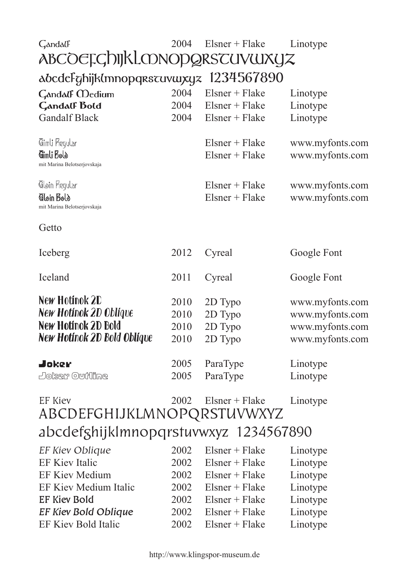## Gandalf 2004 2004 Elsner + Flake Elsner + Flake Linotype Linotype ABCOEFGhijkLMNOPQRSTUVWXYZ abcdefghijklmnopqrstuvwxyz 1234567890<br>Gandalf Medium 2004 Elsner + Flake

| <b>Gandalf Bold</b>                                        | 2004 | $Elsner + Flake$                     | Linotype                           |
|------------------------------------------------------------|------|--------------------------------------|------------------------------------|
| <b>Gandalf Black</b>                                       | 2004 | $Elsner + Flake$                     | Linotype                           |
| Gimli Regular<br>Gimli Bolò<br>mit Marina Belotserjovskaja |      | $Elsner + Flake$<br>$Elsner + Flake$ | www.myfonts.com<br>www.myfonts.com |
| Gløin Regular<br>Gloin Bold<br>mit Marina Belotserjovskaja |      | $Elsner + Flake$<br>$Elsner + Flake$ | www.myfonts.com<br>www.myfonts.com |

Getto

| Iceberg                     | 2012 | Cyreal   | Google Font     |
|-----------------------------|------|----------|-----------------|
| Iceland                     | 2011 | Cyreal   | Google Font     |
| New Hotinok 2D              | 2010 | 2D Typo  | www.myfonts.com |
| New Hotinok 2D Oblique      | 2010 | 2D Typo  | www.myfonts.com |
| New Hotinok 2D Bold         | 2010 | 2D Typo  | www.myfonts.com |
| New Hotinok 2D Bold Oblique | 2010 | 2D Typo  | www.myfonts.com |
| Joker                       | 2005 | ParaType | Linotype        |
| Doker Outline               | 2005 | ParaType | Linotype        |

## EF Kiev 2002 Elsner + Flake Linotype ABCDEFGHIJKLMNOPQRSTUVWXYZ abcdefghijklmnopqrstuvwxyz 1234567890

| EF Kiev Oblique             | 2002 | Elsner + Flake | Linotype |
|-----------------------------|------|----------------|----------|
| EF Kiev Italic              | 2002 | Elsner + Flake | Linotype |
| <b>EF Kiev Medium</b>       | 2002 | Elsner + Flake | Linotype |
| EF Kiev Medium Italic       | 2002 | Elsner + Flake | Linotype |
| <b>EF Kiev Bold</b>         | 2002 | Elsner + Flake | Linotype |
| <b>EF Kiev Bold Oblique</b> | 2002 | Elsner + Flake | Linotype |
| EF Kiev Bold Italic         | 2002 | Elsner + Flake | Linotype |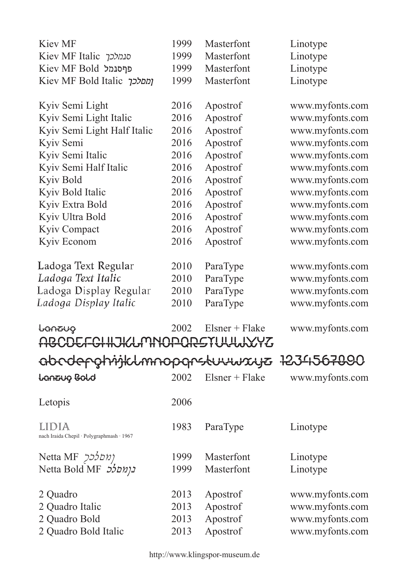|                             | Kiev MF                                            | 1999 | Masterfont       | Linotype        |
|-----------------------------|----------------------------------------------------|------|------------------|-----------------|
|                             | Kiev MF Italic סנמלכך                              | 1999 | Masterfont       | Linotype        |
|                             | Kiev MF Bold פרסנמל                                | 1999 | Masterfont       | Linotype        |
|                             | Kiev MF Bold Italic ומסלכך                         | 1999 | Masterfont       | Linotype        |
|                             |                                                    |      |                  |                 |
|                             | Kyiv Semi Light                                    | 2016 | Apostrof         | www.myfonts.com |
|                             | Kyiv Semi Light Italic                             | 2016 | Apostrof         | www.myfonts.com |
|                             | Kyiv Semi Light Half Italic                        | 2016 | Apostrof         | www.myfonts.com |
|                             | Kyiv Semi                                          | 2016 | Apostrof         | www.myfonts.com |
|                             | Kyiv Semi Italic                                   | 2016 | Apostrof         | www.myfonts.com |
|                             | Kyiv Semi Half Italic                              | 2016 | Apostrof         | www.myfonts.com |
|                             | Kyiv Bold                                          | 2016 | Apostrof         | www.myfonts.com |
|                             | Kyiv Bold Italic                                   | 2016 | Apostrof         | www.myfonts.com |
|                             | Kyiv Extra Bold                                    | 2016 | Apostrof         | www.myfonts.com |
|                             | Kyiv Ultra Bold                                    | 2016 | Apostrof         | www.myfonts.com |
|                             | <b>Kyiv Compact</b>                                | 2016 | Apostrof         | www.myfonts.com |
|                             | Kyiv Econom                                        | 2016 | Apostrof         | www.myfonts.com |
|                             | Ladoga Text Regular                                | 2010 | ParaType         | www.myfonts.com |
|                             | Ladoga Text Italic                                 | 2010 | ParaType         | www.myfonts.com |
|                             | Ladoga Display Regular                             | 2010 | ParaType         | www.myfonts.com |
|                             | Ladoga Display Italic                              | 2010 | ParaType         | www.myfonts.com |
|                             | ᡶ᠊ᢗᡤ᠍ᠡᢧ᠋ᠯᢗᡰᡇ                                       | 2002 | $Elsner + Flake$ | www.myfonts.com |
|                             | ABCDEFCHHJKLMNOPORSTULLUXYZ                        |      |                  |                 |
| Gbcdepotrijklmnopgrstuuwxyz |                                                    |      |                  | 123456700       |
|                             |                                                    |      |                  |                 |
|                             | Lanzung Bold                                       | 2002 | $Elsner + Flake$ | www.myfonts.com |
|                             | Letopis                                            | 2006 |                  |                 |
|                             | LIDIA<br>nach Iraida Chepil · Polygraphmash · 1967 | 1983 | ParaType         | Linotype        |
|                             | Netta MF 222011                                    | 1999 | Masterfont       | Linotype        |
|                             | Netta Bold MF 550117                               | 1999 | Masterfont       | Linotype        |
|                             |                                                    |      |                  |                 |
|                             | 2 Quadro                                           | 2013 | Apostrof         | www.myfonts.com |
|                             | 2 Quadro Italic                                    | 2013 | Apostrof         | www.myfonts.com |
|                             | 2 Quadro Bold                                      | 2013 | Apostrof         | www.myfonts.com |
|                             | 2 Quadro Bold Italic                               | 2013 | Apostrof         | www.myfonts.com |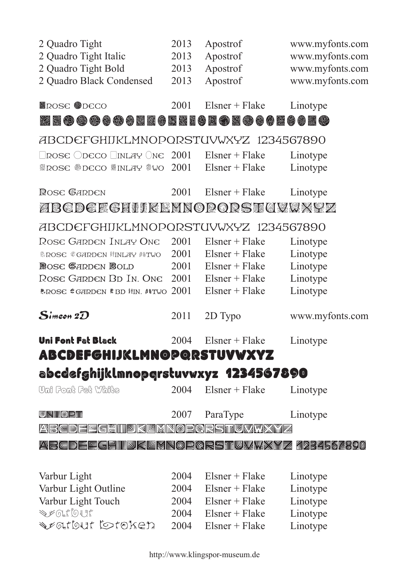| 2 Quadro Tight<br>2 Quadro Tight Italic                     | 2013<br>2013 | Apostrof<br>Apostrof | www.myfonts.com<br>www.myfonts.com |
|-------------------------------------------------------------|--------------|----------------------|------------------------------------|
| 2 Quadro Tight Bold                                         | 2013         | Apostrof             | www.myfonts.com                    |
| 2 Quadro Black Condensed                                    | 2013         | Apostrof             | www.myfonts.com                    |
|                                                             |              |                      |                                    |
| <b>ROSE ODECO</b>                                           | 2001         | $Elsner + Flake$     | Linotype                           |
| ZECOROCOMZORRIORONOMOROORO                                  |              |                      |                                    |
| ABCDEFGHIJKLMNOPQRSTUVWXYZ 1234567890                       |              |                      |                                    |
| $\Box$ rose $\bigcirc$ deco $\Box$ inlay $\bigcirc$ ne 2001 |              | $Elsner + Flake$     | Linotype                           |
| ※ROSE ※DECO ※INLAY ※WO                                      | 2001         | $Elsner + Flake$     | Linotype                           |
|                                                             |              |                      |                                    |
| <b>R</b> ose <b>G</b> arden                                 | 2001         | $Elsner + Flake$     | Linotype                           |
| ZBCDCECHIIKENNOPORSK(IVMXYZ                                 |              |                      |                                    |
| ABCDEFGHIJKLMNOPQRSTUVWXYZ 1234567890                       |              |                      |                                    |
| Rose Garden Inlay One                                       | 2001         | $Elsner + Flake$     | Linotype                           |
| <b>&amp;ROSE &amp;GARDEN IINLAY ISTWO</b>                   | 2001         | $Elsner + Flake$     | Linotype                           |
| <b>ROSE GARDEN BOLD</b>                                     | 2001         | $Elsner + Flake$     | Linotype                           |
| Rose Garden Bd In. One                                      | 2001         | $Elsner + Flake$     | Linotype                           |
| <b>*ROSE *GARDEN * BD HIN. #ITWO</b>                        | 2001         | $Elsner + Flake$     | Linotype                           |
| $\boldsymbol{S}$ imeon 2 $\boldsymbol{\mathcal{D}}$         | 2011         | 2D Typo              | www.myfonts.com                    |
| Uni Font Fat Black                                          | 2004         | $Elsner + Flake$     | Linotype                           |
| <b>ABCDEFGHIJKLMNOPQRSTUVWXYZ</b>                           |              |                      |                                    |
| abcdefghijklmnopgrstuvwxyz 1234567890                       |              |                      |                                    |
| Uni Font Fat White                                          | 2004         | $Elsner + Flake$     | Linotype                           |
| <u>u kilio t</u> in                                         |              |                      |                                    |
|                                                             | 2007         | ParaType             | Linotype                           |
| <u> MBCDEESHIIDKEKNODGRSTIGWWXXIZ</u>                       |              |                      |                                    |
| <u> Mekemerebeilið kark opgebilgna myns 19545 (1900</u>     |              |                      |                                    |
|                                                             |              |                      |                                    |
| Varbur Light                                                | 2004         | $Elsner + Flake$     | Linotype                           |
| Varbur Light Outline                                        | 2004         | $Elsner + Flake$     | Linotype                           |
| Varbur Light Touch                                          | 2004         | $Elsner + Flake$     | Linotype                           |
| <b>SECTIONS</b>                                             | 2004         | $Elsner + Flake$     | Linotype                           |
| <b>DECLEQUE COLORED.</b>                                    | 2004         | $Elsner + Flake$     | Linotype                           |